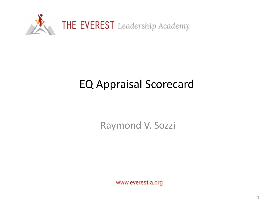

### EQ Appraisal Scorecard

Raymond V. Sozzi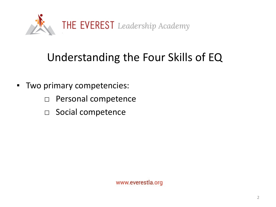

## Understanding the Four Skills of EQ

- Two primary competencies:
	- □ Personal competence
	- □ Social competence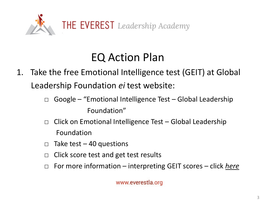

### EQ Action Plan

- 1. Take the free Emotional Intelligence test (GEIT) at Global Leadership Foundation *ei* test website:
	- $\Box$  Google "Emotional Intelligence Test Global Leadership Foundation"
	- $\Box$  Click on Emotional Intelligence Test Global Leadership Foundation
	- $\Box$  Take test 40 questions
	- $\Box$  Click score test and get test results
	- □ For more information interpreting GEIT scores click *here*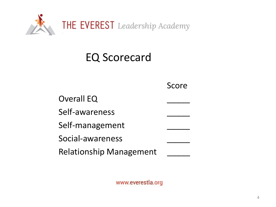

#### EQ Scorecard

|                                | Score |
|--------------------------------|-------|
| <b>Overall EQ</b>              |       |
| Self-awareness                 |       |
| Self-management                |       |
| Social-awareness               |       |
| <b>Relationship Management</b> |       |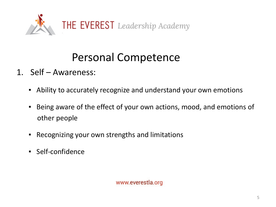

# Personal Competence

- 1. Self Awareness:
	- Ability to accurately recognize and understand your own emotions
	- Being aware of the effect of your own actions, mood, and emotions of other people
	- Recognizing your own strengths and limitations
	- Self-confidence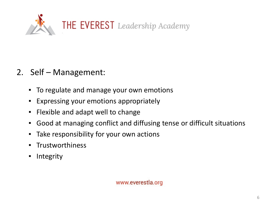

- 2. Self Management:
	- **To regulate and manage your own emotions**
	- Expressing your emotions appropriately
	- Flexible and adapt well to change
	- Good at managing conflict and diffusing tense or difficult situations
	- Take responsibility for your own actions
	- Trustworthiness
	- **Integrity**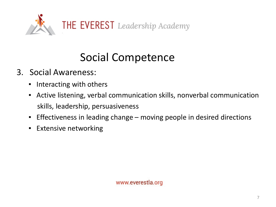

# Social Competence

- 3. Social Awareness:
	- Interacting with others
	- **EXTENT Active listening, verbal communication skills, nonverbal communication** skills, leadership, persuasiveness
	- Effectiveness in leading change moving people in desired directions
	- **Extensive networking**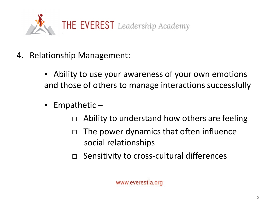

- 4. Relationship Management:
	- **EXE** Ability to use your awareness of your own emotions and those of others to manage interactions successfully
	- Empathetic  $-$ 
		- $\Box$  Ability to understand how others are feeling
		- $\Box$  The power dynamics that often influence social relationships
		- □ Sensitivity to cross-cultural differences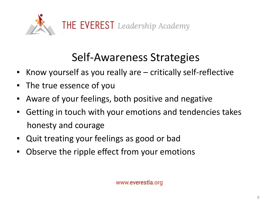

# Self-Awareness Strategies

- Know yourself as you really are critically self-reflective
- The true essence of you
- **EXE** Aware of your feelings, both positive and negative
- Getting in touch with your emotions and tendencies takes honesty and courage
- Quit treating your feelings as good or bad
- Observe the ripple effect from your emotions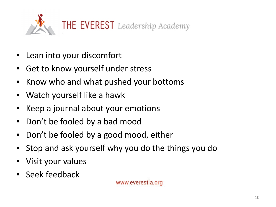

- Lean into your discomfort
- Get to know yourself under stress
- Know who and what pushed your bottoms
- Watch yourself like a hawk
- Keep a journal about your emotions
- Don't be fooled by a bad mood
- Don't be fooled by a good mood, either
- Stop and ask yourself why you do the things you do
- Visit your values
- Seek feedback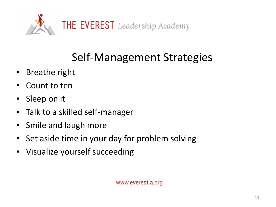

# Self-Management Strategies

- Breathe right
- Count to ten
- Sleep on it
- Talk to a skilled self-manager
- Smile and laugh more
- Set aside time in your day for problem solving
- Visualize yourself succeeding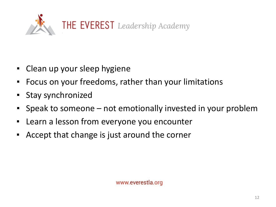

- Clean up your sleep hygiene
- Focus on your freedoms, rather than your limitations
- Stay synchronized
- Speak to someone not emotionally invested in your problem
- Learn a lesson from everyone you encounter
- Accept that change is just around the corner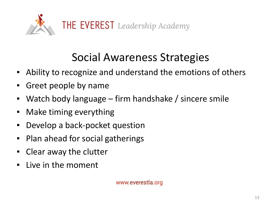

# Social Awareness Strategies

- Ability to recognize and understand the emotions of others
- Greet people by name
- Watch body language firm handshake / sincere smile
- Make timing everything
- Develop a back-pocket question
- Plan ahead for social gatherings
- Clear away the clutter
- Live in the moment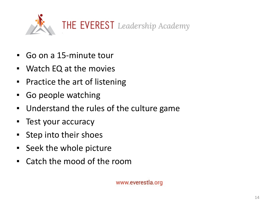

- Go on a 15-minute tour
- Watch EQ at the movies
- Practice the art of listening
- Go people watching
- Understand the rules of the culture game
- Test your accuracy
- Step into their shoes
- Seek the whole picture
- Catch the mood of the room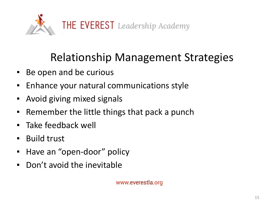

### Relationship Management Strategies

- Be open and be curious
- Enhance your natural communications style
- Avoid giving mixed signals
- Remember the little things that pack a punch
- Take feedback well
- Build trust
- Have an "open-door" policy
- Don't avoid the inevitable